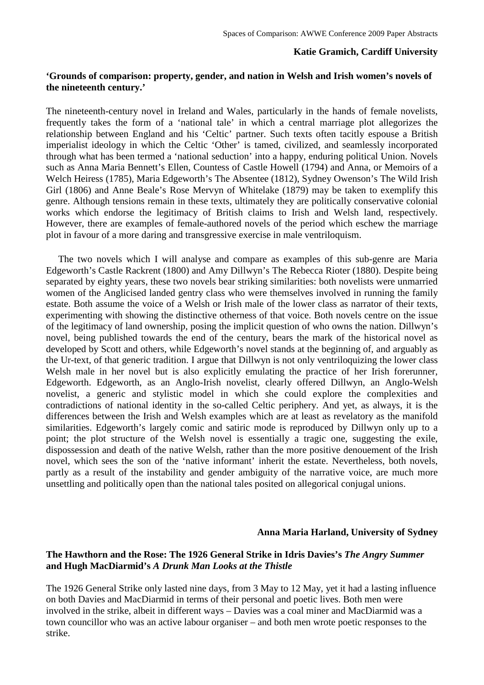### **Katie Gramich, Cardiff University**

# **'Grounds of comparison: property, gender, and nation in Welsh and Irish women's novels of the nineteenth century.'**

The nineteenth-century novel in Ireland and Wales, particularly in the hands of female novelists, frequently takes the form of a 'national tale' in which a central marriage plot allegorizes the relationship between England and his 'Celtic' partner. Such texts often tacitly espouse a British imperialist ideology in which the Celtic 'Other' is tamed, civilized, and seamlessly incorporated through what has been termed a 'national seduction' into a happy, enduring political Union. Novels such as Anna Maria Bennett's Ellen, Countess of Castle Howell (1794) and Anna, or Memoirs of a Welch Heiress (1785), Maria Edgeworth's The Absentee (1812), Sydney Owenson's The Wild Irish Girl (1806) and Anne Beale's Rose Mervyn of Whitelake (1879) may be taken to exemplify this genre. Although tensions remain in these texts, ultimately they are politically conservative colonial works which endorse the legitimacy of British claims to Irish and Welsh land, respectively. However, there are examples of female-authored novels of the period which eschew the marriage plot in favour of a more daring and transgressive exercise in male ventriloquism.

 The two novels which I will analyse and compare as examples of this sub-genre are Maria Edgeworth's Castle Rackrent (1800) and Amy Dillwyn's The Rebecca Rioter (1880). Despite being separated by eighty years, these two novels bear striking similarities: both novelists were unmarried women of the Anglicised landed gentry class who were themselves involved in running the family estate. Both assume the voice of a Welsh or Irish male of the lower class as narrator of their texts, experimenting with showing the distinctive otherness of that voice. Both novels centre on the issue of the legitimacy of land ownership, posing the implicit question of who owns the nation. Dillwyn's novel, being published towards the end of the century, bears the mark of the historical novel as developed by Scott and others, while Edgeworth's novel stands at the beginning of, and arguably as the Ur-text, of that generic tradition. I argue that Dillwyn is not only ventriloquizing the lower class Welsh male in her novel but is also explicitly emulating the practice of her Irish forerunner, Edgeworth. Edgeworth, as an Anglo-Irish novelist, clearly offered Dillwyn, an Anglo-Welsh novelist, a generic and stylistic model in which she could explore the complexities and contradictions of national identity in the so-called Celtic periphery. And yet, as always, it is the differences between the Irish and Welsh examples which are at least as revelatory as the manifold similarities. Edgeworth's largely comic and satiric mode is reproduced by Dillwyn only up to a point; the plot structure of the Welsh novel is essentially a tragic one, suggesting the exile, dispossession and death of the native Welsh, rather than the more positive denouement of the Irish novel, which sees the son of the 'native informant' inherit the estate. Nevertheless, both novels, partly as a result of the instability and gender ambiguity of the narrative voice, are much more unsettling and politically open than the national tales posited on allegorical conjugal unions.

### **Anna Maria Harland, University of Sydney**

### **The Hawthorn and the Rose: The 1926 General Strike in Idris Davies's** *The Angry Summer* **and Hugh MacDiarmid's** *A Drunk Man Looks at the Thistle*

The 1926 General Strike only lasted nine days, from 3 May to 12 May, yet it had a lasting influence on both Davies and MacDiarmid in terms of their personal and poetic lives. Both men were involved in the strike, albeit in different ways – Davies was a coal miner and MacDiarmid was a town councillor who was an active labour organiser – and both men wrote poetic responses to the strike.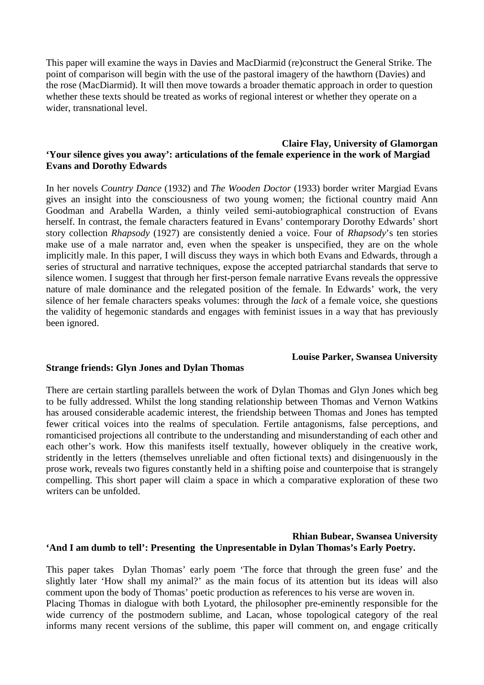This paper will examine the ways in Davies and MacDiarmid (re)construct the General Strike. The point of comparison will begin with the use of the pastoral imagery of the hawthorn (Davies) and the rose (MacDiarmid). It will then move towards a broader thematic approach in order to question whether these texts should be treated as works of regional interest or whether they operate on a wider, transnational level.

### **Claire Flay, University of Glamorgan 'Your silence gives you away': articulations of the female experience in the work of Margiad Evans and Dorothy Edwards**

In her novels *Country Dance* (1932) and *The Wooden Doctor* (1933) border writer Margiad Evans gives an insight into the consciousness of two young women; the fictional country maid Ann Goodman and Arabella Warden, a thinly veiled semi-autobiographical construction of Evans herself. In contrast, the female characters featured in Evans' contemporary Dorothy Edwards' short story collection *Rhapsody* (1927) are consistently denied a voice. Four of *Rhapsody*'s ten stories make use of a male narrator and, even when the speaker is unspecified, they are on the whole implicitly male. In this paper, I will discuss they ways in which both Evans and Edwards, through a series of structural and narrative techniques, expose the accepted patriarchal standards that serve to silence women. I suggest that through her first-person female narrative Evans reveals the oppressive nature of male dominance and the relegated position of the female. In Edwards' work, the very silence of her female characters speaks volumes: through the *lack* of a female voice, she questions the validity of hegemonic standards and engages with feminist issues in a way that has previously been ignored.

### **Louise Parker, Swansea University**

### **Strange friends: Glyn Jones and Dylan Thomas**

There are certain startling parallels between the work of Dylan Thomas and Glyn Jones which beg to be fully addressed. Whilst the long standing relationship between Thomas and Vernon Watkins has aroused considerable academic interest, the friendship between Thomas and Jones has tempted fewer critical voices into the realms of speculation. Fertile antagonisms, false perceptions, and romanticised projections all contribute to the understanding and misunderstanding of each other and each other's work. How this manifests itself textually, however obliquely in the creative work, stridently in the letters (themselves unreliable and often fictional texts) and disingenuously in the prose work, reveals two figures constantly held in a shifting poise and counterpoise that is strangely compelling. This short paper will claim a space in which a comparative exploration of these two writers can be unfolded.

### **Rhian Bubear, Swansea University 'And I am dumb to tell': Presenting the Unpresentable in Dylan Thomas's Early Poetry.**

This paper takes Dylan Thomas' early poem 'The force that through the green fuse' and the slightly later 'How shall my animal?' as the main focus of its attention but its ideas will also comment upon the body of Thomas' poetic production as references to his verse are woven in. Placing Thomas in dialogue with both Lyotard, the philosopher pre-eminently responsible for the wide currency of the postmodern sublime, and Lacan, whose topological category of the real informs many recent versions of the sublime, this paper will comment on, and engage critically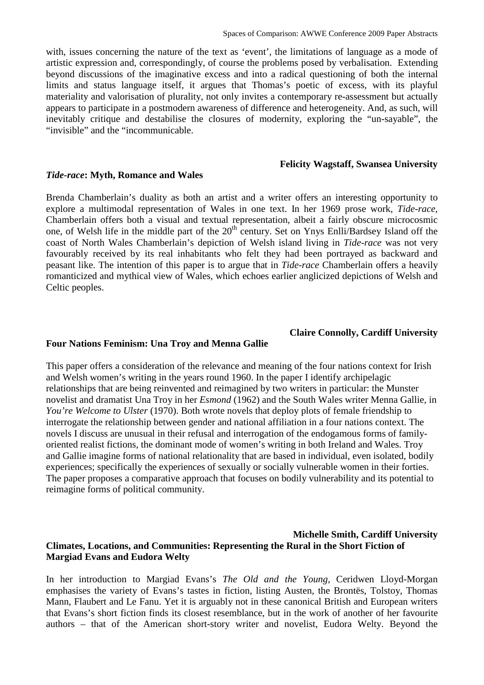with, issues concerning the nature of the text as 'event', the limitations of language as a mode of artistic expression and, correspondingly, of course the problems posed by verbalisation. Extending beyond discussions of the imaginative excess and into a radical questioning of both the internal limits and status language itself, it argues that Thomas's poetic of excess, with its playful materiality and valorisation of plurality, not only invites a contemporary re-assessment but actually appears to participate in a postmodern awareness of difference and heterogeneity. And, as such, will inevitably critique and destabilise the closures of modernity, exploring the "un-sayable", the "invisible" and the "incommunicable.

#### **Felicity Wagstaff, Swansea University**

**Claire Connolly, Cardiff University** 

#### *Tide-race***: Myth, Romance and Wales**

Brenda Chamberlain's duality as both an artist and a writer offers an interesting opportunity to explore a multimodal representation of Wales in one text. In her 1969 prose work, *Tide-race,*  Chamberlain offers both a visual and textual representation, albeit a fairly obscure microcosmic one, of Welsh life in the middle part of the 20<sup>th</sup> century. Set on Ynys Enlli/Bardsey Island off the coast of North Wales Chamberlain's depiction of Welsh island living in *Tide-race* was not very favourably received by its real inhabitants who felt they had been portrayed as backward and peasant like. The intention of this paper is to argue that in *Tide-race* Chamberlain offers a heavily romanticized and mythical view of Wales, which echoes earlier anglicized depictions of Welsh and Celtic peoples.

# **Four Nations Feminism: Una Troy and Menna Gallie**

This paper offers a consideration of the relevance and meaning of the four nations context for Irish and Welsh women's writing in the years round 1960. In the paper I identify archipelagic relationships that are being reinvented and reimagined by two writers in particular: the Munster novelist and dramatist Una Troy in her *Esmond* (1962) and the South Wales writer Menna Gallie, in *You're Welcome to Ulster* (1970). Both wrote novels that deploy plots of female friendship to interrogate the relationship between gender and national affiliation in a four nations context. The novels I discuss are unusual in their refusal and interrogation of the endogamous forms of familyoriented realist fictions, the dominant mode of women's writing in both Ireland and Wales. Troy and Gallie imagine forms of national relationality that are based in individual, even isolated, bodily experiences; specifically the experiences of sexually or socially vulnerable women in their forties. The paper proposes a comparative approach that focuses on bodily vulnerability and its potential to reimagine forms of political community.

### **Michelle Smith, Cardiff University Climates, Locations, and Communities: Representing the Rural in the Short Fiction of Margiad Evans and Eudora Welty**

In her introduction to Margiad Evans's *The Old and the Young*, Ceridwen Lloyd-Morgan emphasises the variety of Evans's tastes in fiction, listing Austen, the Brontës, Tolstoy, Thomas Mann, Flaubert and Le Fanu. Yet it is arguably not in these canonical British and European writers that Evans's short fiction finds its closest resemblance, but in the work of another of her favourite authors – that of the American short-story writer and novelist, Eudora Welty. Beyond the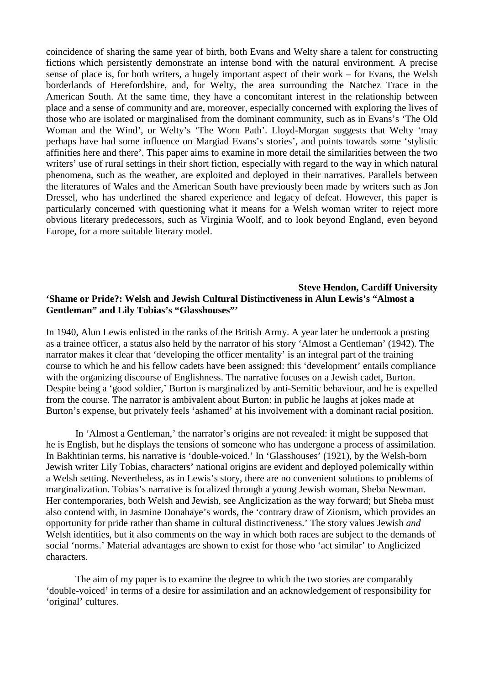coincidence of sharing the same year of birth, both Evans and Welty share a talent for constructing fictions which persistently demonstrate an intense bond with the natural environment. A precise sense of place is, for both writers, a hugely important aspect of their work – for Evans, the Welsh borderlands of Herefordshire, and, for Welty, the area surrounding the Natchez Trace in the American South. At the same time, they have a concomitant interest in the relationship between place and a sense of community and are, moreover, especially concerned with exploring the lives of those who are isolated or marginalised from the dominant community, such as in Evans's 'The Old Woman and the Wind', or Welty's 'The Worn Path'. Lloyd-Morgan suggests that Welty 'may perhaps have had some influence on Margiad Evans's stories', and points towards some 'stylistic affinities here and there'. This paper aims to examine in more detail the similarities between the two writers' use of rural settings in their short fiction, especially with regard to the way in which natural phenomena, such as the weather, are exploited and deployed in their narratives. Parallels between the literatures of Wales and the American South have previously been made by writers such as Jon Dressel, who has underlined the shared experience and legacy of defeat. However, this paper is particularly concerned with questioning what it means for a Welsh woman writer to reject more obvious literary predecessors, such as Virginia Woolf, and to look beyond England, even beyond Europe, for a more suitable literary model.

### **Steve Hendon, Cardiff University 'Shame or Pride?: Welsh and Jewish Cultural Distinctiveness in Alun Lewis's "Almost a Gentleman" and Lily Tobias's "Glasshouses"'**

In 1940, Alun Lewis enlisted in the ranks of the British Army. A year later he undertook a posting as a trainee officer, a status also held by the narrator of his story 'Almost a Gentleman' (1942). The narrator makes it clear that 'developing the officer mentality' is an integral part of the training course to which he and his fellow cadets have been assigned: this 'development' entails compliance with the organizing discourse of Englishness. The narrative focuses on a Jewish cadet, Burton. Despite being a 'good soldier,' Burton is marginalized by anti-Semitic behaviour, and he is expelled from the course. The narrator is ambivalent about Burton: in public he laughs at jokes made at Burton's expense, but privately feels 'ashamed' at his involvement with a dominant racial position.

 In 'Almost a Gentleman,' the narrator's origins are not revealed: it might be supposed that he is English, but he displays the tensions of someone who has undergone a process of assimilation. In Bakhtinian terms, his narrative is 'double-voiced.' In 'Glasshouses' (1921), by the Welsh-born Jewish writer Lily Tobias, characters' national origins are evident and deployed polemically within a Welsh setting. Nevertheless, as in Lewis's story, there are no convenient solutions to problems of marginalization. Tobias's narrative is focalized through a young Jewish woman, Sheba Newman. Her contemporaries, both Welsh and Jewish, see Anglicization as the way forward; but Sheba must also contend with, in Jasmine Donahaye's words, the 'contrary draw of Zionism, which provides an opportunity for pride rather than shame in cultural distinctiveness.' The story values Jewish *and* Welsh identities, but it also comments on the way in which both races are subject to the demands of social 'norms.' Material advantages are shown to exist for those who 'act similar' to Anglicized characters.

The aim of my paper is to examine the degree to which the two stories are comparably 'double-voiced' in terms of a desire for assimilation and an acknowledgement of responsibility for 'original' cultures.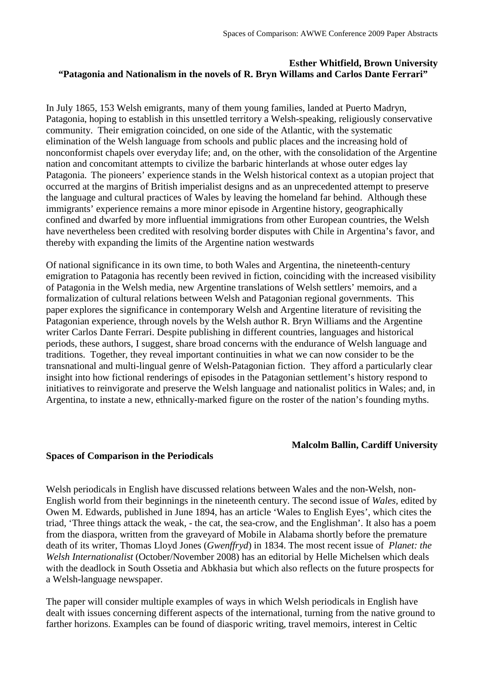# **Esther Whitfield, Brown University "Patagonia and Nationalism in the novels of R. Bryn Willams and Carlos Dante Ferrari"**

In July 1865, 153 Welsh emigrants, many of them young families, landed at Puerto Madryn, Patagonia, hoping to establish in this unsettled territory a Welsh-speaking, religiously conservative community. Their emigration coincided, on one side of the Atlantic, with the systematic elimination of the Welsh language from schools and public places and the increasing hold of nonconformist chapels over everyday life; and, on the other, with the consolidation of the Argentine nation and concomitant attempts to civilize the barbaric hinterlands at whose outer edges lay Patagonia. The pioneers' experience stands in the Welsh historical context as a utopian project that occurred at the margins of British imperialist designs and as an unprecedented attempt to preserve the language and cultural practices of Wales by leaving the homeland far behind. Although these immigrants' experience remains a more minor episode in Argentine history, geographically confined and dwarfed by more influential immigrations from other European countries, the Welsh have nevertheless been credited with resolving border disputes with Chile in Argentina's favor, and thereby with expanding the limits of the Argentine nation westwards

Of national significance in its own time, to both Wales and Argentina, the nineteenth-century emigration to Patagonia has recently been revived in fiction, coinciding with the increased visibility of Patagonia in the Welsh media, new Argentine translations of Welsh settlers' memoirs, and a formalization of cultural relations between Welsh and Patagonian regional governments. This paper explores the significance in contemporary Welsh and Argentine literature of revisiting the Patagonian experience, through novels by the Welsh author R. Bryn Williams and the Argentine writer Carlos Dante Ferrari. Despite publishing in different countries, languages and historical periods, these authors, I suggest, share broad concerns with the endurance of Welsh language and traditions. Together, they reveal important continuities in what we can now consider to be the transnational and multi-lingual genre of Welsh-Patagonian fiction. They afford a particularly clear insight into how fictional renderings of episodes in the Patagonian settlement's history respond to initiatives to reinvigorate and preserve the Welsh language and nationalist politics in Wales; and, in Argentina, to instate a new, ethnically-marked figure on the roster of the nation's founding myths.

# **Malcolm Ballin, Cardiff University**

# **Spaces of Comparison in the Periodicals**

Welsh periodicals in English have discussed relations between Wales and the non-Welsh, non-English world from their beginnings in the nineteenth century. The second issue of *Wales,* edited by Owen M. Edwards, published in June 1894, has an article 'Wales to English Eyes', which cites the triad, 'Three things attack the weak, - the cat, the sea-crow, and the Englishman'. It also has a poem from the diaspora, written from the graveyard of Mobile in Alabama shortly before the premature death of its writer, Thomas Lloyd Jones (*Gwenffryd*) in 1834. The most recent issue of *Planet: the Welsh Internationalist* (October/November 2008) has an editorial by Helle Michelsen which deals with the deadlock in South Ossetia and Abkhasia but which also reflects on the future prospects for a Welsh-language newspaper.

The paper will consider multiple examples of ways in which Welsh periodicals in English have dealt with issues concerning different aspects of the international, turning from the native ground to farther horizons. Examples can be found of diasporic writing, travel memoirs, interest in Celtic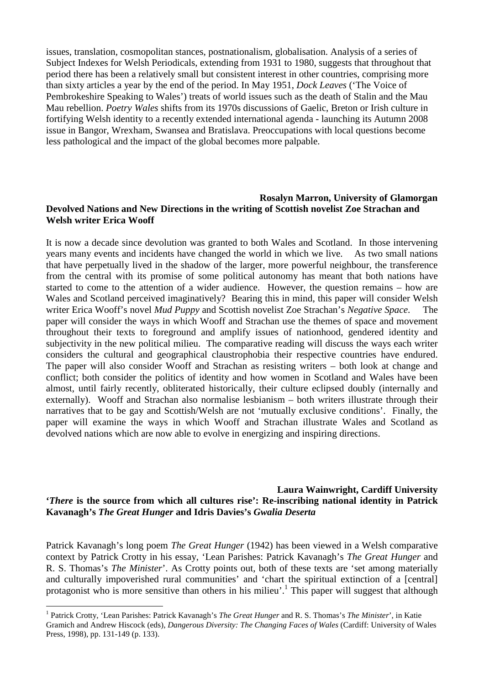issues, translation, cosmopolitan stances, postnationalism, globalisation. Analysis of a series of Subject Indexes for Welsh Periodicals, extending from 1931 to 1980, suggests that throughout that period there has been a relatively small but consistent interest in other countries, comprising more than sixty articles a year by the end of the period. In May 1951, *Dock Leaves* ('The Voice of Pembrokeshire Speaking to Wales') treats of world issues such as the death of Stalin and the Mau Mau rebellion. *Poetry Wales* shifts from its 1970s discussions of Gaelic, Breton or Irish culture in fortifying Welsh identity to a recently extended international agenda - launching its Autumn 2008 issue in Bangor, Wrexham, Swansea and Bratislava. Preoccupations with local questions become less pathological and the impact of the global becomes more palpable.

### **Rosalyn Marron, University of Glamorgan Devolved Nations and New Directions in the writing of Scottish novelist Zoe Strachan and Welsh writer Erica Wooff**

It is now a decade since devolution was granted to both Wales and Scotland. In those intervening years many events and incidents have changed the world in which we live. As two small nations that have perpetually lived in the shadow of the larger, more powerful neighbour, the transference from the central with its promise of some political autonomy has meant that both nations have started to come to the attention of a wider audience. However, the question remains – how are Wales and Scotland perceived imaginatively? Bearing this in mind, this paper will consider Welsh writer Erica Wooff's novel *Mud Puppy* and Scottish novelist Zoe Strachan's *Negative Space*. The paper will consider the ways in which Wooff and Strachan use the themes of space and movement throughout their texts to foreground and amplify issues of nationhood, gendered identity and subjectivity in the new political milieu. The comparative reading will discuss the ways each writer considers the cultural and geographical claustrophobia their respective countries have endured. The paper will also consider Wooff and Strachan as resisting writers – both look at change and conflict; both consider the politics of identity and how women in Scotland and Wales have been almost, until fairly recently, obliterated historically, their culture eclipsed doubly (internally and externally). Wooff and Strachan also normalise lesbianism – both writers illustrate through their narratives that to be gay and Scottish/Welsh are not 'mutually exclusive conditions'. Finally, the paper will examine the ways in which Wooff and Strachan illustrate Wales and Scotland as devolved nations which are now able to evolve in energizing and inspiring directions.

# **Laura Wainwright, Cardiff University '***There* **is the source from which all cultures rise': Re-inscribing national identity in Patrick Kavanagh's** *The Great Hunger* **and Idris Davies's** *Gwalia Deserta*

Patrick Kavanagh's long poem *The Great Hunger* (1942) has been viewed in a Welsh comparative context by Patrick Crotty in his essay, 'Lean Parishes: Patrick Kavanagh's *The Great Hunger* and R. S. Thomas's *The Minister*'. As Crotty points out, both of these texts are 'set among materially and culturally impoverished rural communities' and 'chart the spiritual extinction of a [central] protagonist who is more sensitive than others in his milieu'.<sup>1</sup> This paper will suggest that although

 $\overline{a}$ 

<sup>1</sup> Patrick Crotty, 'Lean Parishes: Patrick Kavanagh's *The Great Hunger* and R. S. Thomas's *The Minister*', in Katie Gramich and Andrew Hiscock (eds), *Dangerous Diversity: The Changing Faces of Wales* (Cardiff: University of Wales Press, 1998), pp. 131-149 (p. 133).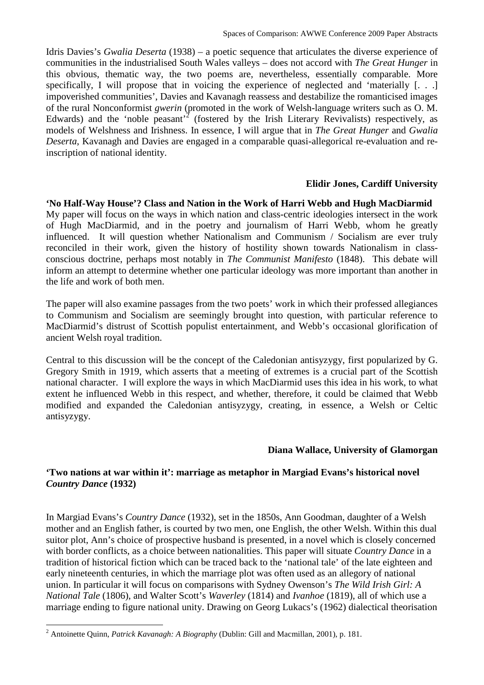Idris Davies's *Gwalia Deserta* (1938) – a poetic sequence that articulates the diverse experience of communities in the industrialised South Wales valleys – does not accord with *The Great Hunger* in this obvious, thematic way, the two poems are, nevertheless, essentially comparable. More specifically, I will propose that in voicing the experience of neglected and 'materially [. . .] impoverished communities', Davies and Kavanagh reassess and destabilize the romanticised images of the rural Nonconformist *gwerin* (promoted in the work of Welsh-language writers such as O. M. Edwards) and the 'noble peasant'<sup>2</sup> (fostered by the Irish Literary Revivalists) respectively, as models of Welshness and Irishness. In essence, I will argue that in *The Great Hunger* and *Gwalia Deserta*, Kavanagh and Davies are engaged in a comparable quasi-allegorical re-evaluation and reinscription of national identity.

# **Elidir Jones, Cardiff University**

**'No Half-Way House'? Class and Nation in the Work of Harri Webb and Hugh MacDiarmid**  My paper will focus on the ways in which nation and class-centric ideologies intersect in the work of Hugh MacDiarmid, and in the poetry and journalism of Harri Webb, whom he greatly influenced. It will question whether Nationalism and Communism / Socialism are ever truly reconciled in their work, given the history of hostility shown towards Nationalism in classconscious doctrine, perhaps most notably in *The Communist Manifesto* (1848). This debate will inform an attempt to determine whether one particular ideology was more important than another in the life and work of both men.

The paper will also examine passages from the two poets' work in which their professed allegiances to Communism and Socialism are seemingly brought into question, with particular reference to MacDiarmid's distrust of Scottish populist entertainment, and Webb's occasional glorification of ancient Welsh royal tradition.

Central to this discussion will be the concept of the Caledonian antisyzygy, first popularized by G. Gregory Smith in 1919, which asserts that a meeting of extremes is a crucial part of the Scottish national character. I will explore the ways in which MacDiarmid uses this idea in his work, to what extent he influenced Webb in this respect, and whether, therefore, it could be claimed that Webb modified and expanded the Caledonian antisyzygy, creating, in essence, a Welsh or Celtic antisyzygy.

# **Diana Wallace, University of Glamorgan**

# **'Two nations at war within it': marriage as metaphor in Margiad Evans's historical novel**  *Country Dance* **(1932)**

In Margiad Evans's *Country Dance* (1932), set in the 1850s, Ann Goodman, daughter of a Welsh mother and an English father, is courted by two men, one English, the other Welsh. Within this dual suitor plot, Ann's choice of prospective husband is presented, in a novel which is closely concerned with border conflicts, as a choice between nationalities. This paper will situate *Country Dance* in a tradition of historical fiction which can be traced back to the 'national tale' of the late eighteen and early nineteenth centuries, in which the marriage plot was often used as an allegory of national union. In particular it will focus on comparisons with Sydney Owenson's *The Wild Irish Girl: A National Tale* (1806), and Walter Scott's *Waverley* (1814) and *Ivanhoe* (1819), all of which use a marriage ending to figure national unity. Drawing on Georg Lukacs's (1962) dialectical theorisation

 $\overline{a}$ 

<sup>2</sup> Antoinette Quinn, *Patrick Kavanagh: A Biography* (Dublin: Gill and Macmillan, 2001), p. 181.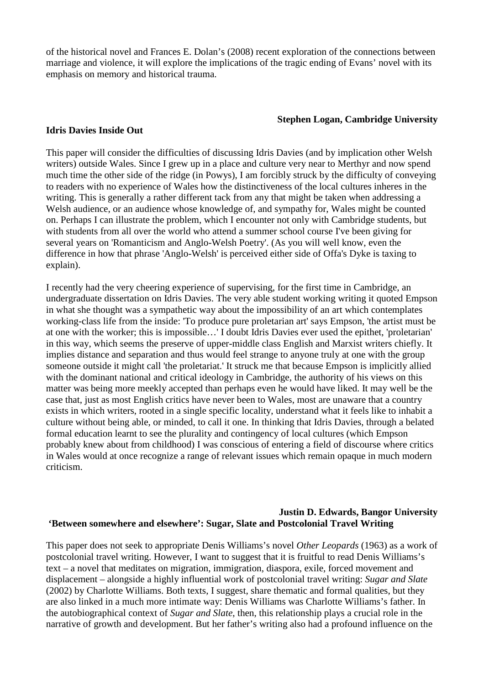of the historical novel and Frances E. Dolan's (2008) recent exploration of the connections between marriage and violence, it will explore the implications of the tragic ending of Evans' novel with its emphasis on memory and historical trauma.

### **Stephen Logan, Cambridge University**

### **Idris Davies Inside Out**

This paper will consider the difficulties of discussing Idris Davies (and by implication other Welsh writers) outside Wales. Since I grew up in a place and culture very near to Merthyr and now spend much time the other side of the ridge (in Powys), I am forcibly struck by the difficulty of conveying to readers with no experience of Wales how the distinctiveness of the local cultures inheres in the writing. This is generally a rather different tack from any that might be taken when addressing a Welsh audience, or an audience whose knowledge of, and sympathy for, Wales might be counted on. Perhaps I can illustrate the problem, which I encounter not only with Cambridge students, but with students from all over the world who attend a summer school course I've been giving for several years on 'Romanticism and Anglo-Welsh Poetry'. (As you will well know, even the difference in how that phrase 'Anglo-Welsh' is perceived either side of Offa's Dyke is taxing to explain).

I recently had the very cheering experience of supervising, for the first time in Cambridge, an undergraduate dissertation on Idris Davies. The very able student working writing it quoted Empson in what she thought was a sympathetic way about the impossibility of an art which contemplates working-class life from the inside: 'To produce pure proletarian art' says Empson, 'the artist must be at one with the worker; this is impossible…' I doubt Idris Davies ever used the epithet, 'proletarian' in this way, which seems the preserve of upper-middle class English and Marxist writers chiefly. It implies distance and separation and thus would feel strange to anyone truly at one with the group someone outside it might call 'the proletariat.' It struck me that because Empson is implicitly allied with the dominant national and critical ideology in Cambridge, the authority of his views on this matter was being more meekly accepted than perhaps even he would have liked. It may well be the case that, just as most English critics have never been to Wales, most are unaware that a country exists in which writers, rooted in a single specific locality, understand what it feels like to inhabit a culture without being able, or minded, to call it one. In thinking that Idris Davies, through a belated formal education learnt to see the plurality and contingency of local cultures (which Empson probably knew about from childhood) I was conscious of entering a field of discourse where critics in Wales would at once recognize a range of relevant issues which remain opaque in much modern criticism.

# **Justin D. Edwards, Bangor University 'Between somewhere and elsewhere': Sugar, Slate and Postcolonial Travel Writing**

This paper does not seek to appropriate Denis Williams's novel *Other Leopards* (1963) as a work of postcolonial travel writing. However, I want to suggest that it is fruitful to read Denis Williams's text – a novel that meditates on migration, immigration, diaspora, exile, forced movement and displacement – alongside a highly influential work of postcolonial travel writing: *Sugar and Slate*  (2002) by Charlotte Williams. Both texts, I suggest, share thematic and formal qualities, but they are also linked in a much more intimate way: Denis Williams was Charlotte Williams's father. In the autobiographical context of *Sugar and Slate*, then, this relationship plays a crucial role in the narrative of growth and development. But her father's writing also had a profound influence on the